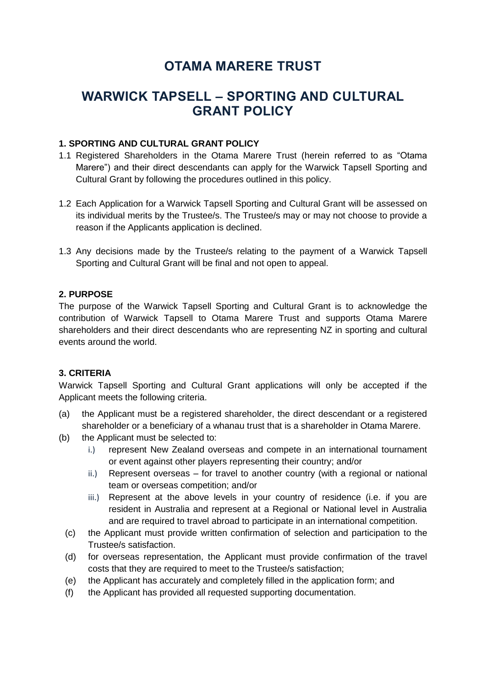# **OTAMA MARERE TRUST**

## **WARWICK TAPSELL – SPORTING AND CULTURAL GRANT POLICY**

#### **1. SPORTING AND CULTURAL GRANT POLICY**

- 1.1 Registered Shareholders in the Otama Marere Trust (herein referred to as "Otama Marere") and their direct descendants can apply for the Warwick Tapsell Sporting and Cultural Grant by following the procedures outlined in this policy.
- 1.2 Each Application for a Warwick Tapsell Sporting and Cultural Grant will be assessed on its individual merits by the Trustee/s. The Trustee/s may or may not choose to provide a reason if the Applicants application is declined.
- 1.3 Any decisions made by the Trustee/s relating to the payment of a Warwick Tapsell Sporting and Cultural Grant will be final and not open to appeal.

#### **2. PURPOSE**

The purpose of the Warwick Tapsell Sporting and Cultural Grant is to acknowledge the contribution of Warwick Tapsell to Otama Marere Trust and supports Otama Marere shareholders and their direct descendants who are representing NZ in sporting and cultural events around the world.

#### **3. CRITERIA**

Warwick Tapsell Sporting and Cultural Grant applications will only be accepted if the Applicant meets the following criteria.

- (a) the Applicant must be a registered shareholder, the direct descendant or a registered shareholder or a beneficiary of a whanau trust that is a shareholder in Otama Marere.
- (b) the Applicant must be selected to:
	- i.) represent New Zealand overseas and compete in an international tournament or event against other players representing their country; and/or
	- ii.) Represent overseas for travel to another country (with a regional or national team or overseas competition; and/or
	- iii.) Represent at the above levels in your country of residence (i.e. if you are resident in Australia and represent at a Regional or National level in Australia and are required to travel abroad to participate in an international competition.
	- (c) the Applicant must provide written confirmation of selection and participation to the Trustee/s satisfaction.
	- (d) for overseas representation, the Applicant must provide confirmation of the travel costs that they are required to meet to the Trustee/s satisfaction;
	- (e) the Applicant has accurately and completely filled in the application form; and
	- (f) the Applicant has provided all requested supporting documentation.